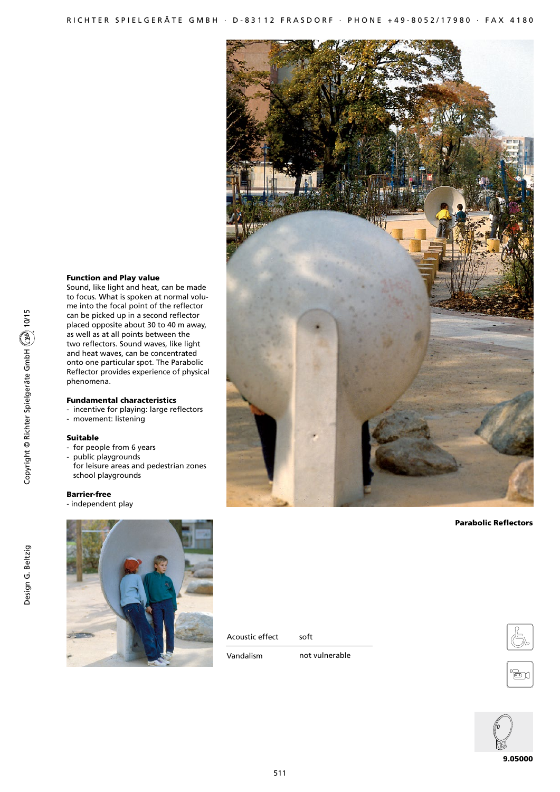

## Parabolic Reflectors

# Function and Play value

Sound, like light and heat, can be made to focus. What is spoken at normal volume into the focal point of the reflector can be picked up in a second reflector placed opposite about 30 to 40 m away, as well as at all points between the two reflectors. Sound waves, like light and heat waves, can be concentrated onto one particular spot. The Parabolic Reflector provides experience of physical phenomena.

# Fundamental characteristics

- incentive for playing: large reflectors
- movement: listening

## Suitable

- for people from 6 years
- public playgrounds for leisure areas and pedestrian zones school playgrounds

## Barrier-free

- independent play



Acoustic effect

Vandalism

not vulnerable

soft